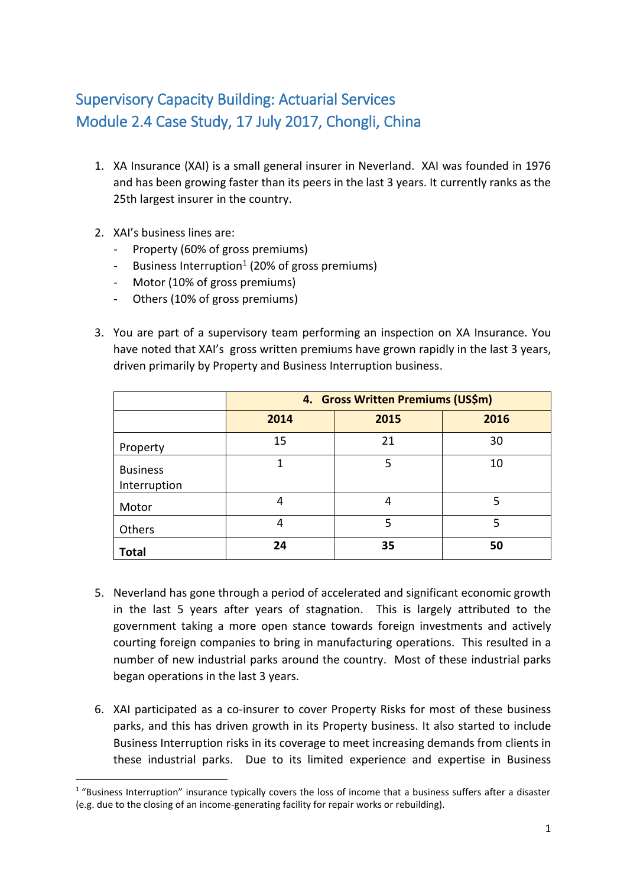## Supervisory Capacity Building: Actuarial Services Module 2.4 Case Study, 17 July 2017, Chongli, China

- 1. XA Insurance (XAI) is a small general insurer in Neverland. XAI was founded in 1976 and has been growing faster than its peers in the last 3 years. It currently ranks as the 25th largest insurer in the country.
- 2. XAI's business lines are:

**.** 

- Property (60% of gross premiums)
- Business Interruption<sup>1</sup> (20% of gross premiums)
- Motor (10% of gross premiums)
- Others (10% of gross premiums)
- 3. You are part of a supervisory team performing an inspection on XA Insurance. You have noted that XAI's gross written premiums have grown rapidly in the last 3 years, driven primarily by Property and Business Interruption business.

|                                 | 4. Gross Written Premiums (US\$m) |      |      |
|---------------------------------|-----------------------------------|------|------|
|                                 | 2014                              | 2015 | 2016 |
| Property                        | 15                                | 21   | 30   |
| <b>Business</b><br>Interruption |                                   | 5    | 10   |
| Motor                           | 4                                 | 4    | 5    |
| Others                          | 4                                 | 5    | 5    |
| <b>Total</b>                    | 24                                | 35   | 50   |

- 5. Neverland has gone through a period of accelerated and significant economic growth in the last 5 years after years of stagnation. This is largely attributed to the government taking a more open stance towards foreign investments and actively courting foreign companies to bring in manufacturing operations. This resulted in a number of new industrial parks around the country. Most of these industrial parks began operations in the last 3 years.
- 6. XAI participated as a co-insurer to cover Property Risks for most of these business parks, and this has driven growth in its Property business. It also started to include Business Interruption risks in its coverage to meet increasing demands from clients in these industrial parks. Due to its limited experience and expertise in Business

<sup>&</sup>lt;sup>1</sup> "Business Interruption" insurance typically covers the loss of income that a business suffers after a disaster (e.g. due to the closing of an income-generating facility for repair works or rebuilding).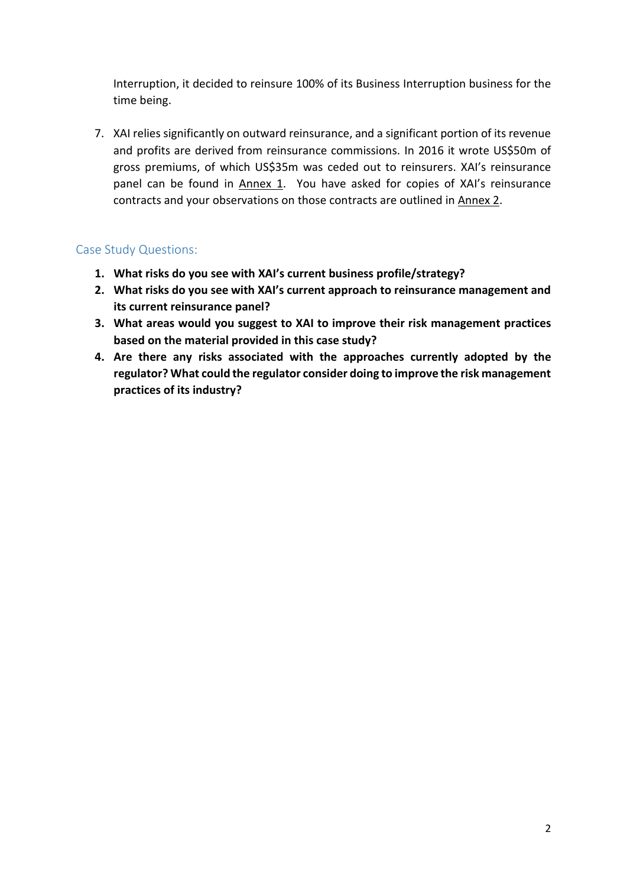Interruption, it decided to reinsure 100% of its Business Interruption business for the time being.

7. XAI relies significantly on outward reinsurance, and a significant portion of its revenue and profits are derived from reinsurance commissions. In 2016 it wrote US\$50m of gross premiums, of which US\$35m was ceded out to reinsurers. XAI's reinsurance panel can be found in Annex 1. You have asked for copies of XAI's reinsurance contracts and your observations on those contracts are outlined in Annex 2.

## Case Study Questions:

- **1. What risks do you see with XAI's current business profile/strategy?**
- **2. What risks do you see with XAI's current approach to reinsurance management and its current reinsurance panel?**
- **3. What areas would you suggest to XAI to improve their risk management practices based on the material provided in this case study?**
- **4. Are there any risks associated with the approaches currently adopted by the regulator? What could the regulator consider doing to improve the risk management practices of its industry?**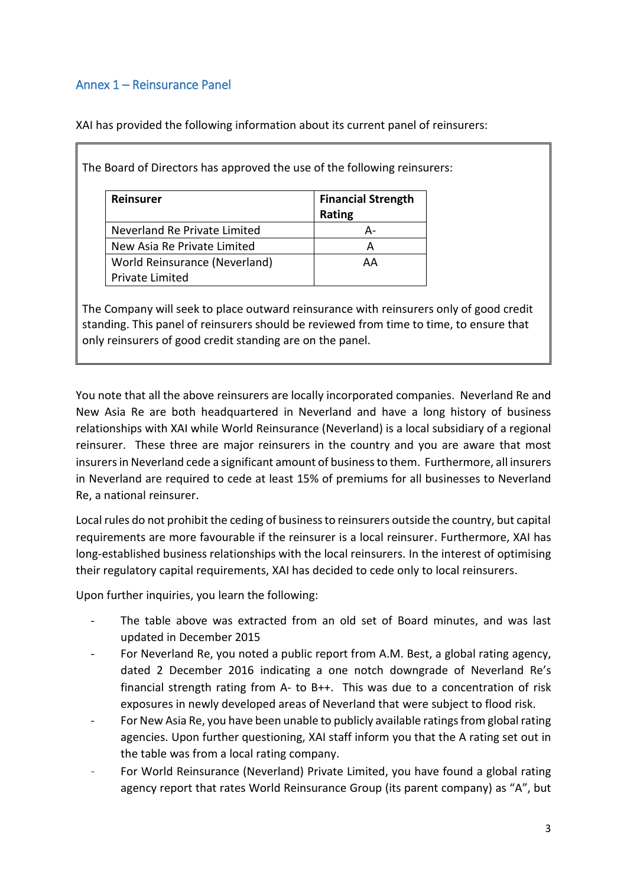## Annex 1 – Reinsurance Panel

XAI has provided the following information about its current panel of reinsurers:

| <b>Reinsurer</b>              | <b>Financial Strength</b><br>Rating |
|-------------------------------|-------------------------------------|
| Neverland Re Private Limited  |                                     |
| New Asia Re Private Limited   | А                                   |
| World Reinsurance (Neverland) | АΑ                                  |
| <b>Private Limited</b>        |                                     |

The Board of Directors has approved the use of the following reinsurers:

The Company will seek to place outward reinsurance with reinsurers only of good credit standing. This panel of reinsurers should be reviewed from time to time, to ensure that only reinsurers of good credit standing are on the panel.

You note that all the above reinsurers are locally incorporated companies. Neverland Re and New Asia Re are both headquartered in Neverland and have a long history of business relationships with XAI while World Reinsurance (Neverland) is a local subsidiary of a regional reinsurer. These three are major reinsurers in the country and you are aware that most insurers in Neverland cede a significant amount of business to them. Furthermore, all insurers in Neverland are required to cede at least 15% of premiums for all businesses to Neverland Re, a national reinsurer.

Local rules do not prohibit the ceding of business to reinsurers outside the country, but capital requirements are more favourable if the reinsurer is a local reinsurer. Furthermore, XAI has long-established business relationships with the local reinsurers. In the interest of optimising their regulatory capital requirements, XAI has decided to cede only to local reinsurers.

Upon further inquiries, you learn the following:

- The table above was extracted from an old set of Board minutes, and was last updated in December 2015
- For Neverland Re, you noted a public report from A.M. Best, a global rating agency, dated 2 December 2016 indicating a one notch downgrade of Neverland Re's financial strength rating from A- to B++. This was due to a concentration of risk exposures in newly developed areas of Neverland that were subject to flood risk.
- For New Asia Re, you have been unable to publicly available ratings from global rating agencies. Upon further questioning, XAI staff inform you that the A rating set out in the table was from a local rating company.
- For World Reinsurance (Neverland) Private Limited, you have found a global rating agency report that rates World Reinsurance Group (its parent company) as "A", but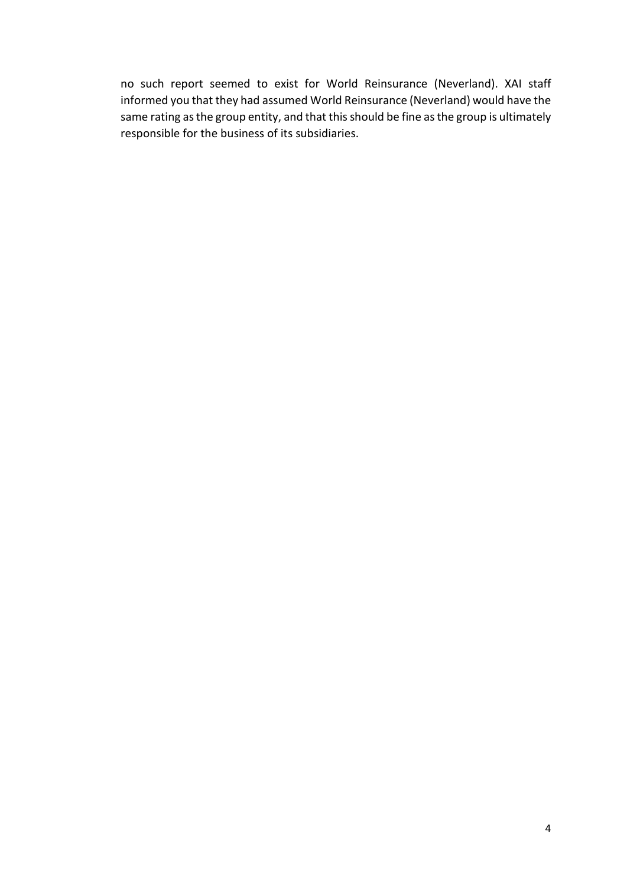no such report seemed to exist for World Reinsurance (Neverland). XAI staff informed you that they had assumed World Reinsurance (Neverland) would have the same rating as the group entity, and that this should be fine as the group is ultimately responsible for the business of its subsidiaries.